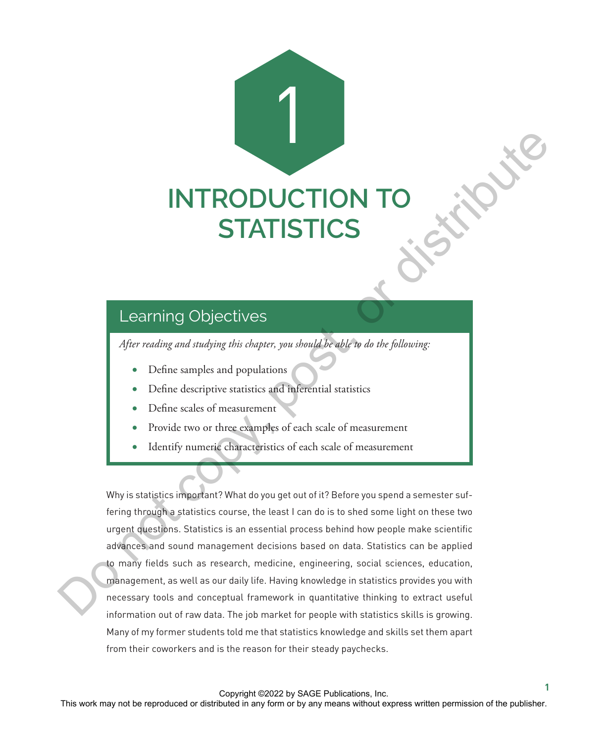# 1 **INTRODUCTION TO STATISTICS**

## Learning Objectives

*After reading and studying this chapter, you should be able to do the following:*

- Define samples and populations
- Define descriptive statistics and inferential statistics
- Define scales of measurement
- Provide two or three examples of each scale of measurement
- Identify numeric characteristics of each scale of measurement

Why is statistics important? What do you get out of it? Before you spend a semester suffering through a statistics course, the least I can do is to shed some light on these two urgent questions. Statistics is an essential process behind how people make scientific advances and sound management decisions based on data. Statistics can be applied to many fields such as research, medicine, engineering, social sciences, education, management, as well as our daily life. Having knowledge in statistics provides you with necessary tools and conceptual framework in quantitative thinking to extract useful information out of raw data. The job market for people with statistics skills is growing. Many of my former students told me that statistics knowledge and skills set them apart from their coworkers and is the reason for their steady paychecks. This work may not be reproduced to distributed in any form or distributed in any form or be reproduced or distributed in any form or be reproduced or distributed in any form or be reproduced or  $\theta$ . Do not complex and pop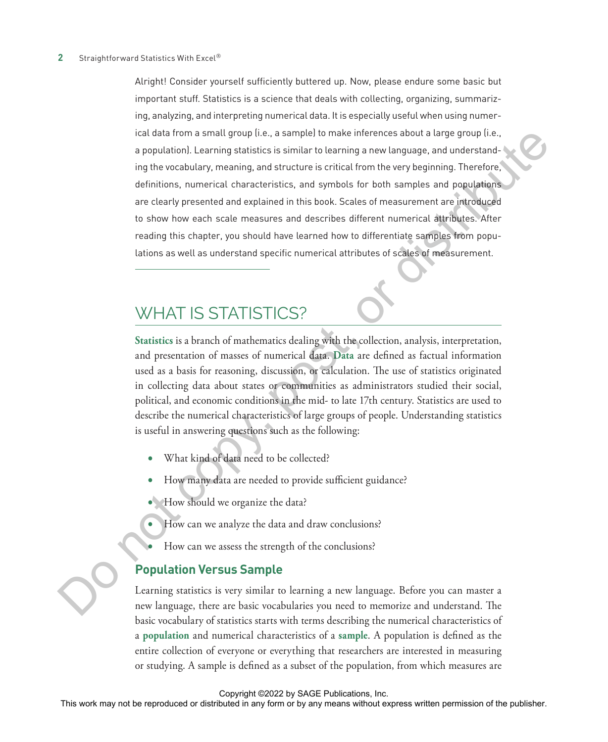Alright! Consider yourself sufficiently buttered up. Now, please endure some basic but important stuff. Statistics is a science that deals with collecting, organizing, summarizing, analyzing, and interpreting numerical data. It is especially useful when using numerical data from a small group (i.e., a sample) to make inferences about a large group (i.e., a population). Learning statistics is similar to learning a new language, and understanding the vocabulary, meaning, and structure is critical from the very beginning. Therefore, definitions, numerical characteristics, and symbols for both samples and populations are clearly presented and explained in this book. Scales of measurement are introduced to show how each scale measures and describes different numerical attributes. After reading this chapter, you should have learned how to differentiate samples from populations as well as understand specific numerical attributes of scales of measurement. The state of the may not be represented to the simulation of the reference about a target or distributed in any form or by any means without the publisher. The publisher of the publisher or distributed in any form of the

## WHAT IS STATISTICS?

**Statistics** is a branch of mathematics dealing with the collection, analysis, interpretation, and presentation of masses of numerical data. **Data** are defined as factual information used as a basis for reasoning, discussion, or calculation. The use of statistics originated in collecting data about states or communities as administrators studied their social, political, and economic conditions in the mid- to late 17th century. Statistics are used to describe the numerical characteristics of large groups of people. Understanding statistics is useful in answering questions such as the following:

- What kind of data need to be collected?
- How many data are needed to provide sufficient guidance?
- How should we organize the data?
- How can we analyze the data and draw conclusions?
- How can we assess the strength of the conclusions?

#### **Population Versus Sample**

Learning statistics is very similar to learning a new language. Before you can master a new language, there are basic vocabularies you need to memorize and understand. The basic vocabulary of statistics starts with terms describing the numerical characteristics of a **population** and numerical characteristics of a **sample**. A population is defined as the entire collection of everyone or everything that researchers are interested in measuring or studying. A sample is defined as a subset of the population, from which measures are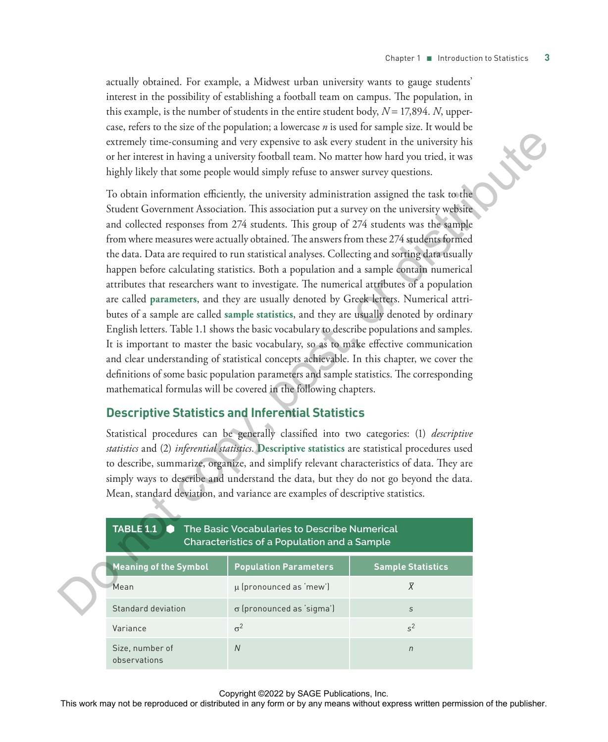actually obtained. For example, a Midwest urban university wants to gauge students' interest in the possibility of establishing a football team on campus. The population, in this example, is the number of students in the entire student body,  $N = 17,894$ . *N*, uppercase, refers to the size of the population; a lowercase *n* is used for sample size. It would be extremely time-consuming and very expensive to ask every student in the university his or her interest in having a university football team. No matter how hard you tried, it was highly likely that some people would simply refuse to answer survey questions.

To obtain information efficiently, the university administration assigned the task to the Student Government Association. This association put a survey on the university website and collected responses from 274 students. This group of 274 students was the sample from where measures were actually obtained. The answers from these 274 students formed the data. Data are required to run statistical analyses. Collecting and sorting data usually happen before calculating statistics. Both a population and a sample contain numerical attributes that researchers want to investigate. The numerical attributes of a population are called **parameters**, and they are usually denoted by Greek letters. Numerical attributes of a sample are called **sample statistics**, and they are usually denoted by ordinary English letters. Table 1.1 shows the basic vocabulary to describe populations and samples. It is important to master the basic vocabulary, so as to make effective communication and clear understanding of statistical concepts achievable. In this chapter, we cover the definitions of some basic population parameters and sample statistics. The corresponding mathematical formulas will be covered in the following chapters. rectremely time-consuming and very requestive to also every smoken in detectined, it wish the relation in the rest matrix is the relation to be any form or by any field you that the rest or distributed in a state of the p

#### **Descriptive Statistics and Inferential Statistics**

Statistical procedures can be generally classified into two categories: (1) *descriptive statistics* and (2) *inferential statistics*. **Descriptive statistics** are statistical procedures used to describe, summarize, organize, and simplify relevant characteristics of data. They are simply ways to describe and understand the data, but they do not go beyond the data. Mean, standard deviation, and variance are examples of descriptive statistics.

| The Basic Vocabularies to Describe Numerical<br><b>TABLE 1.1</b><br>Characteristics of a Population and a Sample |                                  |                          |  |  |  |  |  |  |
|------------------------------------------------------------------------------------------------------------------|----------------------------------|--------------------------|--|--|--|--|--|--|
| <b>Meaning of the Symbol</b>                                                                                     | <b>Population Parameters</b>     | <b>Sample Statistics</b> |  |  |  |  |  |  |
| Mean                                                                                                             | $\mu$ (pronounced as 'mew')      | X                        |  |  |  |  |  |  |
| Standard deviation                                                                                               | $\sigma$ (pronounced as 'sigma') | S                        |  |  |  |  |  |  |
| Variance                                                                                                         | $\sigma^2$                       | $s^2$                    |  |  |  |  |  |  |
| Size, number of<br>observations                                                                                  | $\overline{N}$                   | $\overline{D}$           |  |  |  |  |  |  |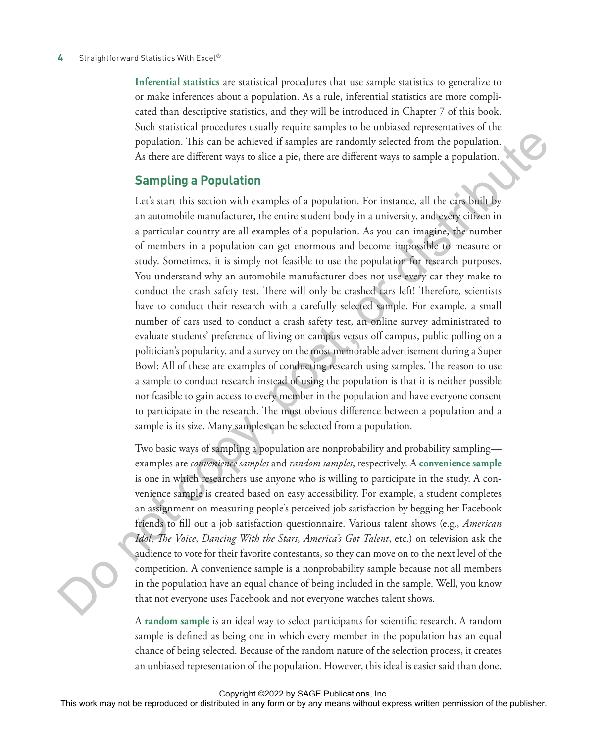#### 4 Straightforward Statistics With Excel<sup>®</sup>

**Inferential statistics** are statistical procedures that use sample statistics to generalize to or make inferences about a population. As a rule, inferential statistics are more complicated than descriptive statistics, and they will be introduced in Chapter 7 of this book. Such statistical procedures usually require samples to be unbiased representatives of the population. This can be achieved if samples are randomly selected from the population. As there are different ways to slice a pie, there are different ways to sample a population.

#### **Sampling a Population**

Let's start this section with examples of a population. For instance, all the cars built by an automobile manufacturer, the entire student body in a university, and every citizen in a particular country are all examples of a population. As you can imagine, the number of members in a population can get enormous and become impossible to measure or study. Sometimes, it is simply not feasible to use the population for research purposes. You understand why an automobile manufacturer does not use every car they make to conduct the crash safety test. There will only be crashed cars left! Therefore, scientists have to conduct their research with a carefully selected sample. For example, a small number of cars used to conduct a crash safety test, an online survey administrated to evaluate students' preference of living on campus versus off campus, public polling on a politician's popularity, and a survey on the most memorable advertisement during a Super Bowl: All of these are examples of conducting research using samples. The reason to use a sample to conduct research instead of using the population is that it is neither possible nor feasible to gain access to every member in the population and have everyone consent to participate in the research. The most obvious difference between a population and a sample is its size. Many samples can be selected from a population. population. This can be achiered if samples are randomly selected from the propulation.<br>A choice are different way to to shine a population of the same residue of the publisher. For insurance, all the any form of the same

Two basic ways of sampling a population are nonprobability and probability sampling examples are *convenience samples* and *random samples*, respectively. A **convenience sample** is one in which researchers use anyone who is willing to participate in the study. A convenience sample is created based on easy accessibility. For example, a student completes an assignment on measuring people's perceived job satisfaction by begging her Facebook friends to fill out a job satisfaction questionnaire. Various talent shows (e.g., *American Idol*, *The Voice*, *Dancing With the Stars, America's Got Talent*, etc.) on television ask the audience to vote for their favorite contestants, so they can move on to the next level of the competition. A convenience sample is a nonprobability sample because not all members in the population have an equal chance of being included in the sample. Well, you know that not everyone uses Facebook and not everyone watches talent shows.

A **random sample** is an ideal way to select participants for scientific research. A random sample is defined as being one in which every member in the population has an equal chance of being selected. Because of the random nature of the selection process, it creates an unbiased representation of the population. However, this ideal is easier said than done.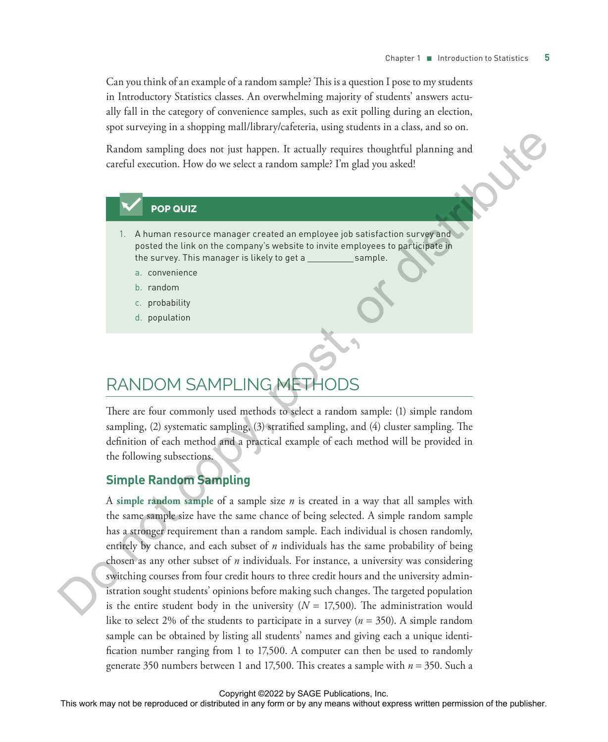Can you think of an example of a random sample? This is a question I pose to my students in Introductory Statistics classes. An overwhelming majority of students' answers actually fall in the category of convenience samples, such as exit polling during an election, spot surveying in a shopping mall/library/cafeteria, using students in a class, and so on.

Random sampling does not just happen. It actually requires thoughtful planning and careful execution. How do we select a random sample? I'm glad you asked!

#### **POP QUIZ**

- 1. A human resource manager created an employee job satisfaction survey and posted the link on the company's website to invite employees to participate in the survey. This manager is likely to get a \_\_\_\_\_\_\_\_\_\_ sample.
	- a. convenience
	- b. random
	- c. probability
	- d. population

## RANDOM SAMPLING METH

There are four commonly used methods to select a random sample: (1) simple random sampling, (2) systematic sampling, (3) stratified sampling, and (4) cluster sampling. The definition of each method and a practical example of each method will be provided in the following subsections.

#### **Simple Random Sampling**

A **simple random sample** of a sample size *n* is created in a way that all samples with the same sample size have the same chance of being selected. A simple random sample has a stronger requirement than a random sample. Each individual is chosen randomly, entirely by chance, and each subset of *n* individuals has the same probability of being chosen as any other subset of *n* individuals. For instance, a university was considering switching courses from four credit hours to three credit hours and the university administration sought students' opinions before making such changes. The targeted population is the entire student body in the university  $(N = 17,500)$ . The administration would like to select 2% of the students to participate in a survey (*n* = 350). A simple random sample can be obtained by listing all students' names and giving each a unique identification number ranging from 1 to 17,500. A computer can then be used to randomly generate 350 numbers between 1 and 17,500. This creates a sample with *n* = 350. Such a The representation of the reproduced or distributed in any form or distributed in any form or distributed in any form or distributed in any means were stated in any means were reproduced in a mean means were reproduced in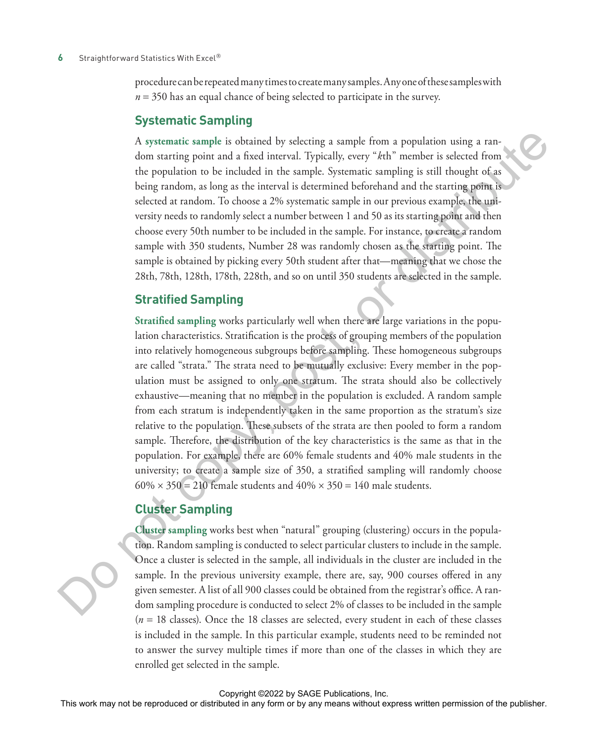#### **6** Straightforward Statistics With Excel<sup>®</sup>

procedure can be repeated many times to create many samples. Any one of these samples with *n* = 350 has an equal chance of being selected to participate in the survey.

#### **Systematic Sampling**

A **systematic sample** is obtained by selecting a sample from a population using a random starting point and a fixed interval. Typically, every "*k*th" member is selected from the population to be included in the sample. Systematic sampling is still thought of as being random, as long as the interval is determined beforehand and the starting point is selected at random. To choose a 2% systematic sample in our previous example, the university needs to randomly select a number between 1 and 50 as its starting point and then choose every 50th number to be included in the sample. For instance, to create a random sample with 350 students, Number 28 was randomly chosen as the starting point. The sample is obtained by picking every 50th student after that—meaning that we chose the 28th, 78th, 128th, 178th, 228th, and so on until 350 students are selected in the sample.

#### **Stratified Sampling**

**Stratified sampling** works particularly well when there are large variations in the population characteristics. Stratification is the process of grouping members of the population into relatively homogeneous subgroups before sampling. These homogeneous subgroups are called "strata." The strata need to be mutually exclusive: Every member in the population must be assigned to only one stratum. The strata should also be collectively exhaustive—meaning that no member in the population is excluded. A random sample from each stratum is independently taken in the same proportion as the stratum's size relative to the population. These subsets of the strata are then pooled to form a random sample. Therefore, the distribution of the key characteristics is the same as that in the population. For example, there are 60% female students and 40% male students in the university; to create a sample size of 350, a stratified sampling will randomly choose  $60\% \times 350 = 210$  female students and  $40\% \times 350 = 140$  male students. A systematic standing the interaction of the last mappe interaction or the reproduced or the properties or be reproduced in the ample. Systematic starting is still thought of the properties or be reproduced in the ample.

#### **Cluster Sampling**

**Cluster sampling** works best when "natural" grouping (clustering) occurs in the population. Random sampling is conducted to select particular clusters to include in the sample. Once a cluster is selected in the sample, all individuals in the cluster are included in the sample. In the previous university example, there are, say, 900 courses offered in any given semester. A list of all 900 classes could be obtained from the registrar's office. A random sampling procedure is conducted to select 2% of classes to be included in the sample  $(n = 18$  classes). Once the 18 classes are selected, every student in each of these classes is included in the sample. In this particular example, students need to be reminded not to answer the survey multiple times if more than one of the classes in which they are enrolled get selected in the sample.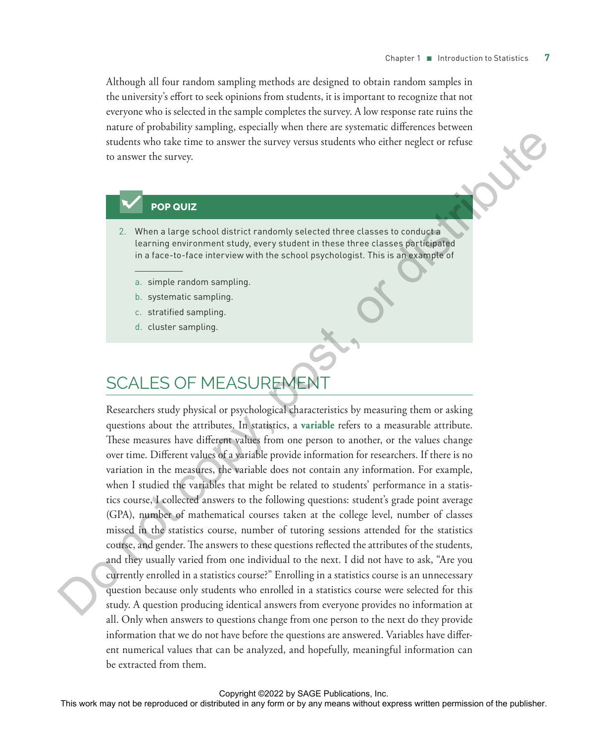Although all four random sampling methods are designed to obtain random samples in the university's effort to seek opinions from students, it is important to recognize that not everyone who is selected in the sample completes the survey. A low response rate ruins the nature of probability sampling, especially when there are systematic differences between students who take time to answer the survey versus students who either neglect or refuse to answer the survey.

#### **POP QUIZ**

 $\mathcal{L}$ 

- 2. When a large school district randomly selected three classes to conduct a learning environment study, every student in these three classes participated in a face-to-face interview with the school psychologist. This is an example of
	- a. simple random sampling.
	- b. systematic sampling.
	- c. stratified sampling.
	- d. cluster sampling.

## SCALES OF MEASUREMEN

Researchers study physical or psychological characteristics by measuring them or asking questions about the attributes. In statistics, a **variable** refers to a measurable attribute. These measures have different values from one person to another, or the values change over time. Different values of a variable provide information for researchers. If there is no variation in the measures, the variable does not contain any information. For example, when I studied the variables that might be related to students' performance in a statistics course, I collected answers to the following questions: student's grade point average (GPA), number of mathematical courses taken at the college level, number of classes missed in the statistics course, number of tutoring sessions attended for the statistics course, and gender. The answers to these questions reflected the attributes of the students, and they usually varied from one individual to the next. I did not have to ask, "Are you currently enrolled in a statistics course?" Enrolling in a statistics course is an unnecessary question because only students who enrolled in a statistics course were selected for this study. A question producing identical answers from everyone provides no information at all. Only when answers to questions change from one person to the next do they provide information that we do not have before the questions are answered. Variables have different numerical values that can be analyzed, and hopefully, meaningful information can be extracted from them. This work may not be reproduced or distributed in any form or by any means when  $\alpha$  any means were reproduced in the state of the publisher or by any means with the publisher of the publisher. This is a systematic sampli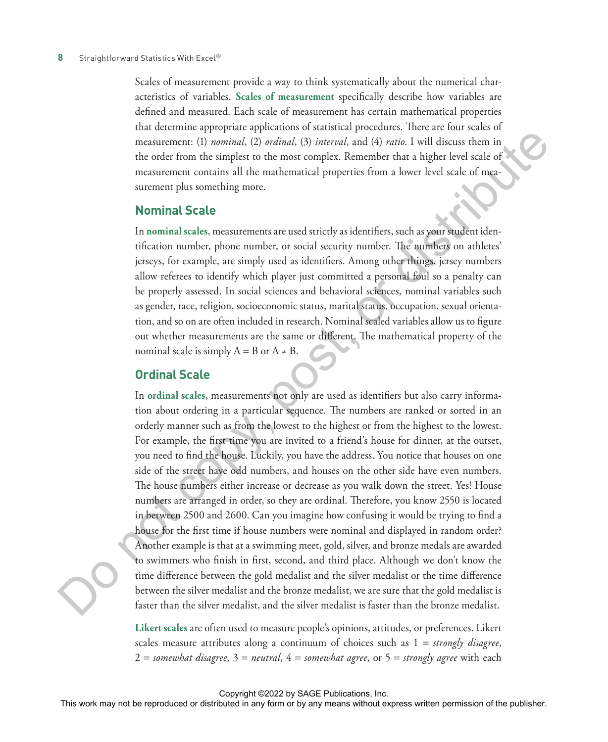Scales of measurement provide a way to think systematically about the numerical characteristics of variables. **Scales of measurement** specifically describe how variables are defined and measured. Each scale of measurement has certain mathematical properties that determine appropriate applications of statistical procedures. There are four scales of measurement: (1) *nominal*, (2) *ordinal*, (3) *interval*, and (4) *ratio*. I will discuss them in the order from the simplest to the most complex. Remember that a higher level scale of measurement contains all the mathematical properties from a lower level scale of measurement plus something more.

#### **Nominal Scale**

In **nominal scales**, measurements are used strictly as identifiers, such as your student identification number, phone number, or social security number. The numbers on athletes' jerseys, for example, are simply used as identifiers. Among other things, jersey numbers allow referees to identify which player just committed a personal foul so a penalty can be properly assessed. In social sciences and behavioral sciences, nominal variables such as gender, race, religion, socioeconomic status, marital status, occupation, sexual orientation, and so on are often included in research. Nominal scaled variables allow us to figure out whether measurements are the same or different. The mathematical property of the nominal scale is simply  $A = B$  or  $A \neq B$ .

#### **Ordinal Scale**

In **ordinal scales**, measurements not only are used as identifiers but also carry information about ordering in a particular sequence. The numbers are ranked or sorted in an orderly manner such as from the lowest to the highest or from the highest to the lowest. For example, the first time you are invited to a friend's house for dinner, at the outset, you need to find the house. Luckily, you have the address. You notice that houses on one side of the street have odd numbers, and houses on the other side have even numbers. The house numbers either increase or decrease as you walk down the street. Yes! House numbers are arranged in order, so they are ordinal. Therefore, you know 2550 is located in between 2500 and 2600. Can you imagine how confusing it would be trying to find a house for the first time if house numbers were nominal and displayed in random order? Another example is that at a swimming meet, gold, silver, and bronze medals are awarded to swimmers who finish in first, second, and third place. Although we don't know the time difference between the gold medalist and the silver medalist or the time difference between the silver medalist and the bronze medalist, we are sure that the gold medalist is faster than the silver medalist, and the silver medalist is faster than the bronze medalist. measurement: (1) motions), (2) motions), (3) motions), and this may not be reproduced in a considerably the motion or allows in the column or by any means were form or by any means were reproduced in a mean single repress

**Likert scales** are often used to measure people's opinions, attitudes, or preferences. Likert scales measure attributes along a continuum of choices such as 1 = *strongly disagree*, 2 = *somewhat disagree*, 3 = *neutral*, 4 = *somewhat agree*, or 5 = *strongly agree* with each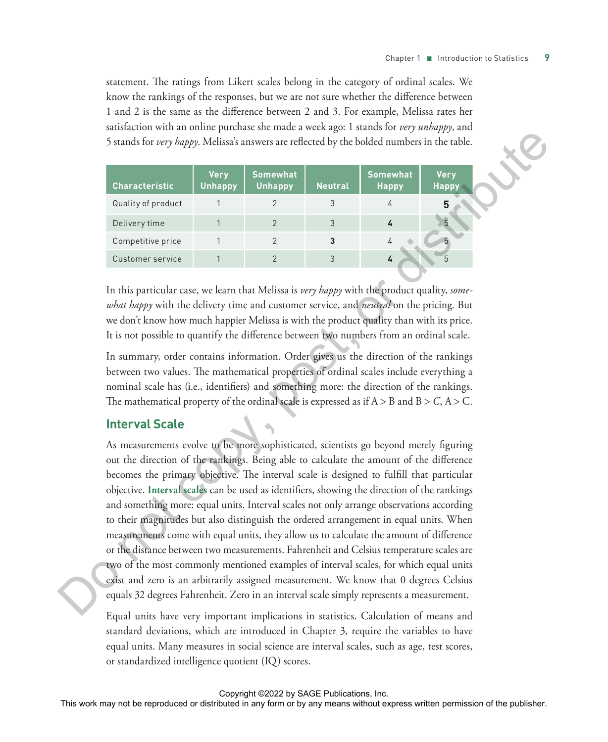statement. The ratings from Likert scales belong in the category of ordinal scales. We know the rankings of the responses, but we are not sure whether the difference between 1 and 2 is the same as the difference between 2 and 3. For example, Melissa rates her satisfaction with an online purchase she made a week ago: 1 stands for *very unhappy*, and 5 stands for *very happy*. Melissa's answers are reflected by the bolded numbers in the table.

| <b>Characteristic</b> | <b>Very</b><br><b>Unhappy</b> | <b>Somewhat</b><br><b>Unhappy</b> | <b>Neutral</b> | <b>Somewhat</b><br><b>Happy</b> | <b>Very</b><br><b>Happy</b> |
|-----------------------|-------------------------------|-----------------------------------|----------------|---------------------------------|-----------------------------|
| Quality of product    |                               |                                   |                |                                 | 5                           |
| Delivery time         |                               |                                   |                |                                 |                             |
| Competitive price     |                               |                                   | 3              |                                 |                             |
| Customer service      |                               |                                   |                | 4                               |                             |

In this particular case, we learn that Melissa is *very happy* with the product quality, *somewhat happy* with the delivery time and customer service, and *neutral* on the pricing. But we don't know how much happier Melissa is with the product quality than with its price. It is not possible to quantify the difference between two numbers from an ordinal scale.

In summary, order contains information. Order gives us the direction of the rankings between two values. The mathematical properties of ordinal scales include everything a nominal scale has (i.e., identifiers) and something more: the direction of the rankings. The mathematical property of the ordinal scale is expressed as if  $A > B$  and  $B > C$ ,  $A > C$ .

#### **Interval Scale**

As measurements evolve to be more sophisticated, scientists go beyond merely figuring out the direction of the rankings. Being able to calculate the amount of the difference becomes the primary objective. The interval scale is designed to fulfill that particular objective. **Interval scales** can be used as identifiers, showing the direction of the rankings and something more: equal units. Interval scales not only arrange observations according to their magnitudes but also distinguish the ordered arrangement in equal units. When measurements come with equal units, they allow us to calculate the amount of difference or the distance between two measurements. Fahrenheit and Celsius temperature scales are two of the most commonly mentioned examples of interval scales, for which equal units exist and zero is an arbitrarily assigned measurement. We know that 0 degrees Celsius equals 32 degrees Fahrenheit. Zero in an interval scale simply represents a measurement. Standa for every dappy. Meliasis a nowers are reflected by the bolised numbers in the rabiked or distributed in any form or be reproduced to the publisher or  $\frac{1}{2}$  concernence were represented in a concernent or the p

Equal units have very important implications in statistics. Calculation of means and standard deviations, which are introduced in Chapter 3, require the variables to have equal units. Many measures in social science are interval scales, such as age, test scores, or standardized intelligence quotient (IQ) scores.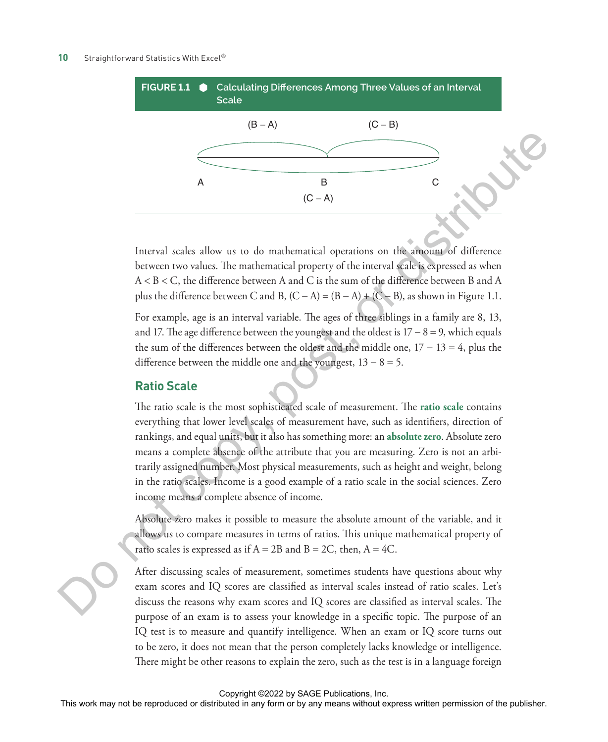

Interval scales allow us to do mathematical operations on the amount of difference between two values. The mathematical property of the interval scale is expressed as when A < B < C, the difference between A and C is the sum of the difference between B and A plus the difference between C and B,  $(C - A) = (B - A) + (C - B)$ , as shown in Figure 1.1.

For example, age is an interval variable. The ages of three siblings in a family are 8, 13, and 17. The age difference between the youngest and the oldest is  $17 - 8 = 9$ , which equals the sum of the differences between the oldest and the middle one,  $17 - 13 = 4$ , plus the difference between the middle one and the youngest,  $13 - 8 = 5$ .

#### **Ratio Scale**

The ratio scale is the most sophisticated scale of measurement. The **ratio scale** contains everything that lower level scales of measurement have, such as identifiers, direction of rankings, and equal units, but it also has something more: an **absolute zero**. Absolute zero means a complete absence of the attribute that you are measuring. Zero is not an arbitrarily assigned number. Most physical measurements, such as height and weight, belong in the ratio scales. Income is a good example of a ratio scale in the social sciences. Zero income means a complete absence of income.

Absolute zero makes it possible to measure the absolute amount of the variable, and it allows us to compare measures in terms of ratios. This unique mathematical property of ratio scales is expressed as if  $A = 2B$  and  $B = 2C$ , then,  $A = 4C$ .

After discussing scales of measurement, sometimes students have questions about why exam scores and IQ scores are classified as interval scales instead of ratio scales. Let's discuss the reasons why exam scores and IQ scores are classified as interval scales. The purpose of an exam is to assess your knowledge in a specific topic. The purpose of an IQ test is to measure and quantify intelligence. When an exam or IQ score turns out to be zero, it does not mean that the person completely lacks knowledge or intelligence. There might be other reasons to explain the zero, such as the test is in a language foreign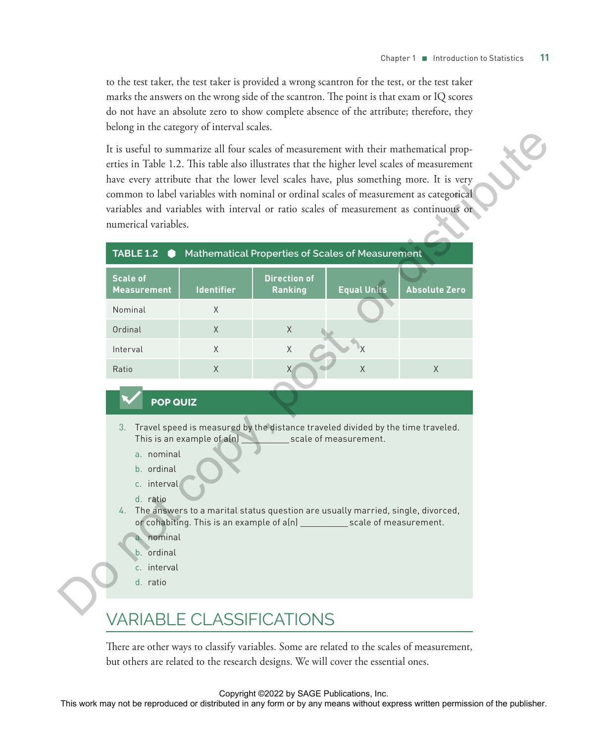to the test taker, the test taker is provided a wrong scantron for the test, or the test taker marks the answers on the wrong side of the scantron. The point is that exam or IQ scores do not have an absolute zero to show complete absence of the attribute; therefore, they belong in the category of interval scales.

|         | numerical variables.<br>TABLE 1.2                                                                                             |                            |                                 | Mathematical Properties of Scales of Measurement                                                                                                                                                                                                                                 | erties in Table 1.2. This table also illustrates that the higher level scales of measurement<br>have every attribute that the lower level scales have, plus something more. It is very<br>common to label variables with nominal or ordinal scales of measurement as categorical<br>variables and variables with interval or ratio scales of measurement as continuous or |  |
|---------|-------------------------------------------------------------------------------------------------------------------------------|----------------------------|---------------------------------|----------------------------------------------------------------------------------------------------------------------------------------------------------------------------------------------------------------------------------------------------------------------------------|---------------------------------------------------------------------------------------------------------------------------------------------------------------------------------------------------------------------------------------------------------------------------------------------------------------------------------------------------------------------------|--|
|         | <b>Scale of</b><br><b>Measurement</b>                                                                                         | <b>Identifier</b>          | <b>Direction of</b><br>Ranking  | <b>Equal Units</b>                                                                                                                                                                                                                                                               | <b>Absolute Zero</b>                                                                                                                                                                                                                                                                                                                                                      |  |
|         | Nominal                                                                                                                       | X                          |                                 |                                                                                                                                                                                                                                                                                  |                                                                                                                                                                                                                                                                                                                                                                           |  |
| Ordinal |                                                                                                                               | X                          | X                               |                                                                                                                                                                                                                                                                                  |                                                                                                                                                                                                                                                                                                                                                                           |  |
|         | Interval                                                                                                                      | X                          | X                               |                                                                                                                                                                                                                                                                                  |                                                                                                                                                                                                                                                                                                                                                                           |  |
| Ratio   |                                                                                                                               | X                          |                                 | $\mathsf X$                                                                                                                                                                                                                                                                      | $\times$                                                                                                                                                                                                                                                                                                                                                                  |  |
|         | <b>POP QUIZ</b><br>a. nominal<br>b. ordinal<br>c. interval<br>d. ratio<br>a. nominal<br>b. ordinal<br>c. interval<br>d. ratio | This is an example of a(n) |                                 | 3. Travel speed is measured by the distance traveled divided by the time traveled.<br>scale of measurement.<br>4. The answers to a marital status question are usually married, single, divorced,<br>or cohabiting. This is an example of a(n) ___________ scale of measurement. |                                                                                                                                                                                                                                                                                                                                                                           |  |
|         |                                                                                                                               |                            | <b>VARIABLE CLASSIFICATIONS</b> |                                                                                                                                                                                                                                                                                  |                                                                                                                                                                                                                                                                                                                                                                           |  |

## VARIABLE CLASSIFICATIONS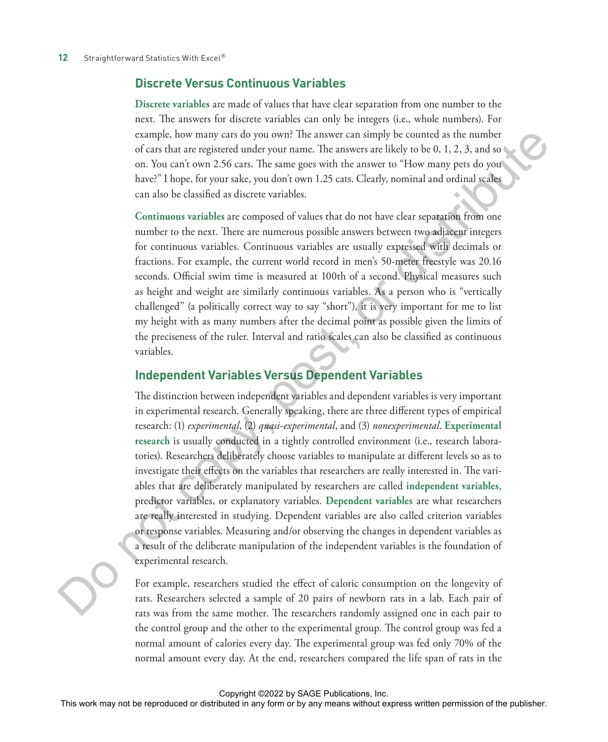#### **Discrete Versus Continuous Variables**

**Discrete variables** are made of values that have clear separation from one number to the next. The answers for discrete variables can only be integers (i.e., whole numbers). For example, how many cars do you own? The answer can simply be counted as the number of cars that are registered under your name. The answers are likely to be 0, 1, 2, 3, and so on. You can't own 2.56 cars. The same goes with the answer to "How many pets do you have?" I hope, for your sake, you don't own 1.25 cats. Clearly, nominal and ordinal scales can also be classified as discrete variables.

**Continuous variables** are composed of values that do not have clear separation from one number to the next. There are numerous possible answers between two adjacent integers for continuous variables. Continuous variables are usually expressed with decimals or fractions. For example, the current world record in men's 50-meter freestyle was 20.16 seconds. Official swim time is measured at 100th of a second. Physical measures such as height and weight are similarly continuous variables. As a person who is "vertically challenged" (a politically correct way to say "short"), it is very important for me to list my height with as many numbers after the decimal point as possible given the limits of the preciseness of the ruler. Interval and ratio scales can also be classified as continuous variables.

## **Independent Variables Versus Dependent Variables**

The distinction between independent variables and dependent variables is very important in experimental research. Generally speaking, there are three different types of empirical research: (1) *experimental*, (2) *quasi-experimental*, and (3) *nonexperimental*. **Experimental research** is usually conducted in a tightly controlled environment (i.e., research laboratories). Researchers deliberately choose variables to manipulate at different levels so as to investigate their effects on the variables that researchers are really interested in. The variables that are deliberately manipulated by researchers are called **independent variables**, predictor variables, or explanatory variables. **Dependent variables** are what researchers are really interested in studying. Dependent variables are also called criterion variables or response variables. Measuring and/or observing the changes in dependent variables as a result of the deliberate manipulation of the independent variables is the foundation of experimental research. This work may not be reproduced or distributed in any form or by any means without express written permission of the publisher. Do not copy, post, or distribute

For example, researchers studied the effect of caloric consumption on the longevity of rats. Researchers selected a sample of 20 pairs of newborn rats in a lab. Each pair of rats was from the same mother. The researchers randomly assigned one in each pair to the control group and the other to the experimental group. The control group was fed a normal amount of calories every day. The experimental group was fed only 70% of the normal amount every day. At the end, researchers compared the life span of rats in the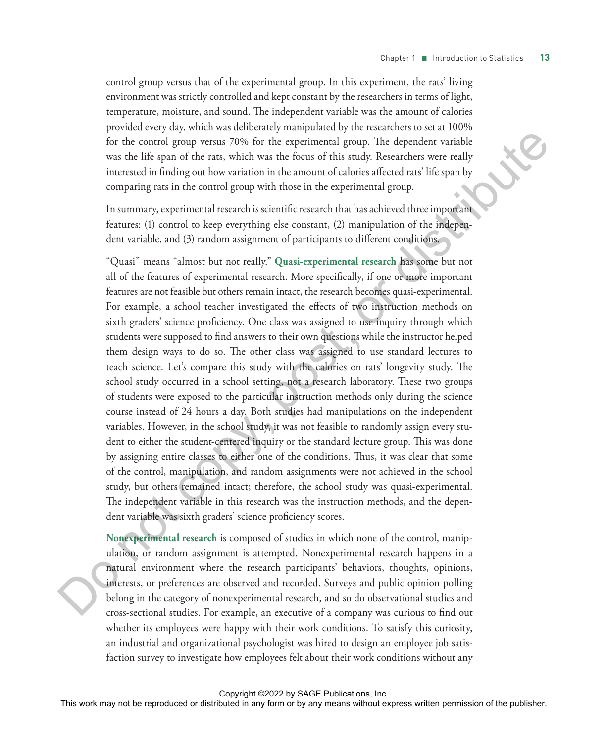control group versus that of the experimental group. In this experiment, the rats' living environment was strictly controlled and kept constant by the researchers in terms of light, temperature, moisture, and sound. The independent variable was the amount of calories provided every day, which was deliberately manipulated by the researchers to set at 100% for the control group versus 70% for the experimental group. The dependent variable was the life span of the rats, which was the focus of this study. Researchers were really interested in finding out how variation in the amount of calories affected rats' life span by comparing rats in the control group with those in the experimental group.

In summary, experimental research is scientific research that has achieved three important features: (1) control to keep everything else constant, (2) manipulation of the independent variable, and (3) random assignment of participants to different conditions.

"Quasi" means "almost but not really." **Quasi-experimental research** has some but not all of the features of experimental research. More specifically, if one or more important features are not feasible but others remain intact, the research becomes quasi-experimental. For example, a school teacher investigated the effects of two instruction methods on sixth graders' science proficiency. One class was assigned to use inquiry through which students were supposed to find answers to their own questions while the instructor helped them design ways to do so. The other class was assigned to use standard lectures to teach science. Let's compare this study with the calories on rats' longevity study. The school study occurred in a school setting, not a research laboratory. These two groups of students were exposed to the particular instruction methods only during the science course instead of 24 hours a day. Both studies had manipulations on the independent variables. However, in the school study, it was not feasible to randomly assign every student to either the student-centered inquiry or the standard lecture group. This was done by assigning entire classes to either one of the conditions. Thus, it was clear that some of the control, manipulation, and random assignments were not achieved in the school study, but others remained intact; therefore, the school study was quasi-experimental. The independent variable in this research was the instruction methods, and the dependent variable was sixth graders' science proficiency scores. For the courts) group ventus 79% for the experimental group. The dependent variable was the fit expandent or the relation of the rank box of this tracks, Researches were radius to the recent of the publisher and the publi

**Nonexperimental research** is composed of studies in which none of the control, manipulation, or random assignment is attempted. Nonexperimental research happens in a natural environment where the research participants' behaviors, thoughts, opinions, interests, or preferences are observed and recorded. Surveys and public opinion polling belong in the category of nonexperimental research, and so do observational studies and cross-sectional studies. For example, an executive of a company was curious to find out whether its employees were happy with their work conditions. To satisfy this curiosity, an industrial and organizational psychologist was hired to design an employee job satisfaction survey to investigate how employees felt about their work conditions without any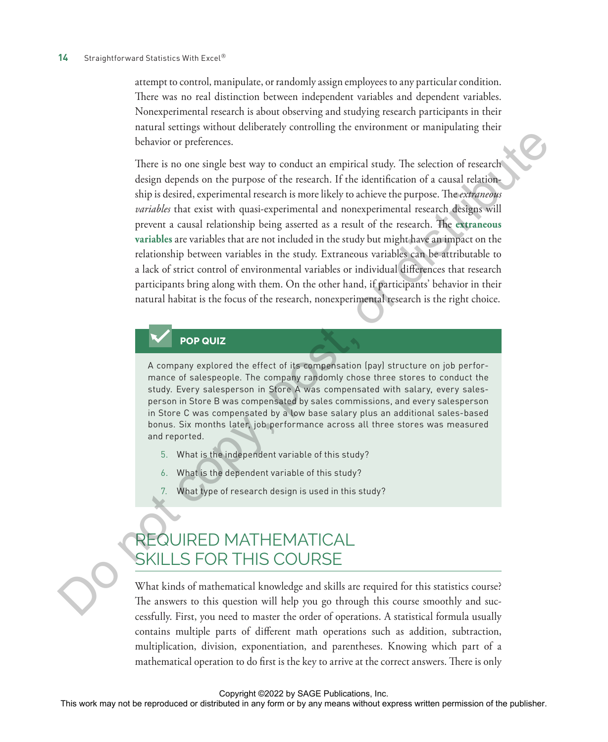attempt to control, manipulate, or randomly assign employees to any particular condition. There was no real distinction between independent variables and dependent variables. Nonexperimental research is about observing and studying research participants in their natural settings without deliberately controlling the environment or manipulating their behavior or preferences.

There is no one single best way to conduct an empirical study. The selection of research design depends on the purpose of the research. If the identification of a causal relationship is desired, experimental research is more likely to achieve the purpose. The *extraneous variables* that exist with quasi-experimental and nonexperimental research designs will prevent a causal relationship being asserted as a result of the research. The **extraneous variables** are variables that are not included in the study but might have an impact on the relationship between variables in the study. Extraneous variables can be attributable to a lack of strict control of environmental variables or individual differences that research participants bring along with them. On the other hand, if participants' behavior in their natural habitat is the focus of the research, nonexperimental research is the right choice. The most of the repression or the reproduced or distributed in any form or by any means when the reproduced or  $\sim$  by any means with the results of the results of the results of the results of the publisher in any form o

#### **POP QUIZ**

A company explored the effect of its compensation (pay) structure on job performance of salespeople. The company randomly chose three stores to conduct the study. Every salesperson in Store A was compensated with salary, every salesperson in Store B was compensated by sales commissions, and every salesperson in Store C was compensated by a low base salary plus an additional sales-based bonus. Six months later, job performance across all three stores was measured and reported.

- 5. What is the independent variable of this study?
- What is the dependent variable of this study?
- 7. What type of research design is used in this study?

## REQUIRED MATHEMATICAL SKILLS FOR THIS COURSE

What kinds of mathematical knowledge and skills are required for this statistics course? The answers to this question will help you go through this course smoothly and successfully. First, you need to master the order of operations. A statistical formula usually contains multiple parts of different math operations such as addition, subtraction, multiplication, division, exponentiation, and parentheses. Knowing which part of a mathematical operation to do first is the key to arrive at the correct answers. There is only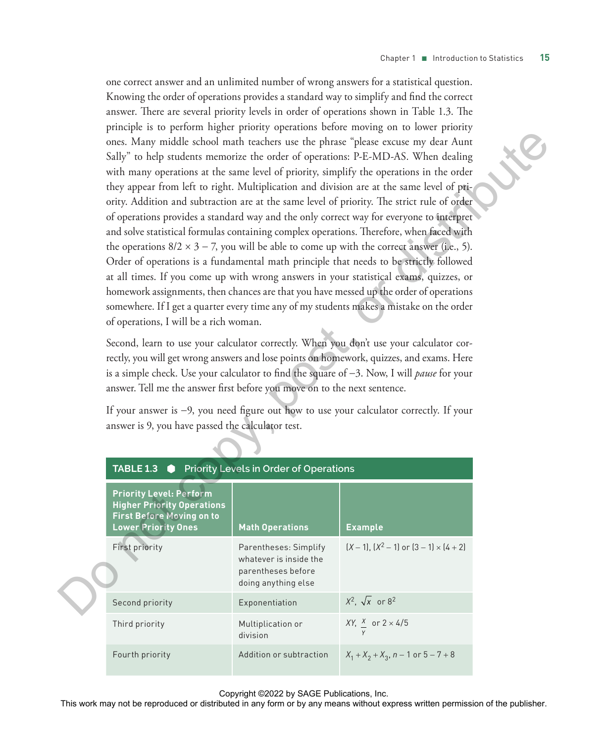one correct answer and an unlimited number of wrong answers for a statistical question. Knowing the order of operations provides a standard way to simplify and find the correct answer. There are several priority levels in order of operations shown in Table 1.3. The principle is to perform higher priority operations before moving on to lower priority ones. Many middle school math teachers use the phrase "please excuse my dear Aunt Sally" to help students memorize the order of operations: P-E-MD-AS. When dealing with many operations at the same level of priority, simplify the operations in the order they appear from left to right. Multiplication and division are at the same level of priority. Addition and subtraction are at the same level of priority. The strict rule of order of operations provides a standard way and the only correct way for everyone to interpret and solve statistical formulas containing complex operations. Therefore, when faced with the operations  $8/2 \times 3 - 7$ , you will be able to come up with the correct answer (i.e., 5). Order of operations is a fundamental math principle that needs to be strictly followed at all times. If you come up with wrong answers in your statistical exams, quizzes, or homework assignments, then chances are that you have messed up the order of operations somewhere. If I get a quarter every time any of my students makes a mistake on the order of operations, I will be a rich woman.

| of operations, I will be a rich woman.                                                                                                                                                                                                                                                                                                                                                                                                                                                                                                                                                               |                                                                                              | ones. Many middle school math teachers use the phrase "please excuse my dear Aunt<br>Sally" to help students memorize the order of operations: P-E-MD-AS. When dealing<br>with many operations at the same level of priority, simplify the operations in the order<br>they appear from left to right. Multiplication and division are at the same level of pri-<br>ority. Addition and subtraction are at the same level of priority. The strict rule of order<br>of operations provides a standard way and the only correct way for everyone to interpret<br>and solve statistical formulas containing complex operations. Therefore, when faced with<br>the operations $8/2 \times 3 - 7$ , you will be able to come up with the correct answer (i.e., 5).<br>Order of operations is a fundamental math principle that needs to be strictly followed<br>at all times. If you come up with wrong answers in your statistical exams, quizzes, or<br>homework assignments, then chances are that you have messed up the order of operations<br>somewhere. If I get a quarter every time any of my students makes a mistake on the order |  |  |  |  |  |  |  |
|------------------------------------------------------------------------------------------------------------------------------------------------------------------------------------------------------------------------------------------------------------------------------------------------------------------------------------------------------------------------------------------------------------------------------------------------------------------------------------------------------------------------------------------------------------------------------------------------------|----------------------------------------------------------------------------------------------|----------------------------------------------------------------------------------------------------------------------------------------------------------------------------------------------------------------------------------------------------------------------------------------------------------------------------------------------------------------------------------------------------------------------------------------------------------------------------------------------------------------------------------------------------------------------------------------------------------------------------------------------------------------------------------------------------------------------------------------------------------------------------------------------------------------------------------------------------------------------------------------------------------------------------------------------------------------------------------------------------------------------------------------------------------------------------------------------------------------------------------------|--|--|--|--|--|--|--|
| Second, learn to use your calculator correctly. When you don't use your calculator cor-<br>rectly, you will get wrong answers and lose points on homework, quizzes, and exams. Here<br>is a simple check. Use your calculator to find the square of $-3$ . Now, I will <i>pause</i> for your<br>answer. Tell me the answer first before you move on to the next sentence.<br>If your answer is -9, you need figure out how to use your calculator correctly. If your<br>answer is 9, you have passed the calculator test.<br>Priority Levels in Order of Operations<br><b>TABLE 1.3</b><br>$\bullet$ |                                                                                              |                                                                                                                                                                                                                                                                                                                                                                                                                                                                                                                                                                                                                                                                                                                                                                                                                                                                                                                                                                                                                                                                                                                                        |  |  |  |  |  |  |  |
| <b>Priority Level: Perform</b><br><b>Higher Priority Operations</b><br><b>First Before Moving on to</b><br><b>Math Operations</b><br><b>Example</b><br><b>Lower Priority Ones</b>                                                                                                                                                                                                                                                                                                                                                                                                                    |                                                                                              |                                                                                                                                                                                                                                                                                                                                                                                                                                                                                                                                                                                                                                                                                                                                                                                                                                                                                                                                                                                                                                                                                                                                        |  |  |  |  |  |  |  |
| First priority                                                                                                                                                                                                                                                                                                                                                                                                                                                                                                                                                                                       | Parentheses: Simplify<br>whatever is inside the<br>parentheses before<br>doing anything else | $(X-1)$ , $(X^2-1)$ or $(3-1) \times (4+2)$                                                                                                                                                                                                                                                                                                                                                                                                                                                                                                                                                                                                                                                                                                                                                                                                                                                                                                                                                                                                                                                                                            |  |  |  |  |  |  |  |
| Second priority                                                                                                                                                                                                                                                                                                                                                                                                                                                                                                                                                                                      | Exponentiation                                                                               | $X^2$ , $\sqrt{x}$ or 8 <sup>2</sup>                                                                                                                                                                                                                                                                                                                                                                                                                                                                                                                                                                                                                                                                                                                                                                                                                                                                                                                                                                                                                                                                                                   |  |  |  |  |  |  |  |
| Third priority                                                                                                                                                                                                                                                                                                                                                                                                                                                                                                                                                                                       | Multiplication or<br>division                                                                | XY, $\frac{X}{2}$ or $2 \times 4/5$                                                                                                                                                                                                                                                                                                                                                                                                                                                                                                                                                                                                                                                                                                                                                                                                                                                                                                                                                                                                                                                                                                    |  |  |  |  |  |  |  |
| Fourth priority                                                                                                                                                                                                                                                                                                                                                                                                                                                                                                                                                                                      | Addition or subtraction                                                                      | $X_1 + X_2 + X_3$ , n – 1 or 5 – 7 + 8                                                                                                                                                                                                                                                                                                                                                                                                                                                                                                                                                                                                                                                                                                                                                                                                                                                                                                                                                                                                                                                                                                 |  |  |  |  |  |  |  |
|                                                                                                                                                                                                                                                                                                                                                                                                                                                                                                                                                                                                      | Copyright ©2022 by SAGE Publications, Inc.                                                   | This work may not be reproduced or distributed in any form or by any means without express written permission of the publisher.                                                                                                                                                                                                                                                                                                                                                                                                                                                                                                                                                                                                                                                                                                                                                                                                                                                                                                                                                                                                        |  |  |  |  |  |  |  |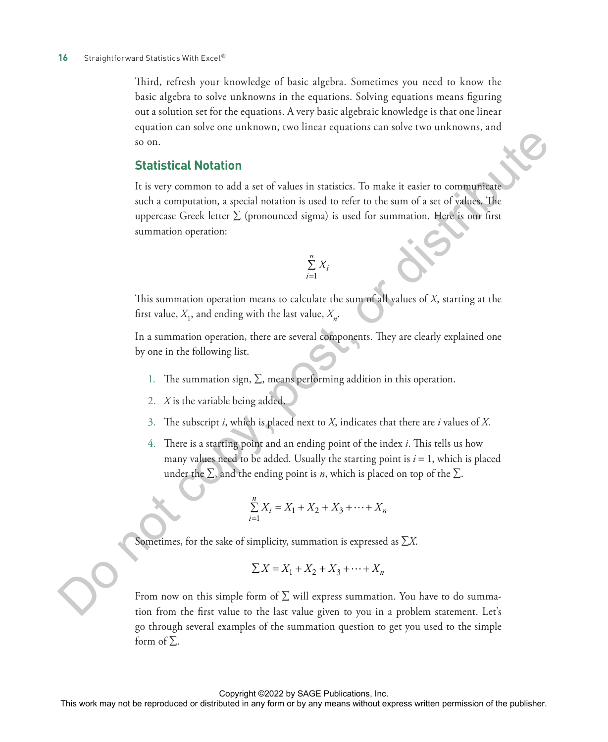Third, refresh your knowledge of basic algebra. Sometimes you need to know the basic algebra to solve unknowns in the equations. Solving equations means figuring out a solution set for the equations. A very basic algebraic knowledge is that one linear equation can solve one unknown, two linear equations can solve two unknowns, and so on.

#### **Statistical Notation**

It is very common to add a set of values in statistics. To make it easier to communicate such a computation, a special notation is used to refer to the sum of a set of values. The uppercase Greek letter  $\Sigma$  (pronounced sigma) is used for summation. Here is our first summation operation: Statistical Notation<br>
In very connect to sidal a set of values in statistics. To make it easier to connectively<br>
any fraction and its computation of the publisher or distributed in any first symmetries Green Express with

$$
\sum_{i=1}^n X_i
$$

This summation operation means to calculate the sum of all values of *X*, starting at the first value,  $X_1$ , and ending with the last value,  $X_n$ .

In a summation operation, there are several components. They are clearly explained one by one in the following list.

- 1. The summation sign,  $\Sigma$ , means performing addition in this operation.
- 2. *X* is the variable being added.
- 3. The subscript *i*, which is placed next to *X*, indicates that there are *i* values of *X.*
- 4. There is a starting point and an ending point of the index *i*. This tells us how many values need to be added. Usually the starting point is  $i = 1$ , which is placed under the  $\Sigma$ , and the ending point is *n*, which is placed on top of the  $\Sigma$ .

$$
\sum_{i=1}^{n} X_i = X_1 + X_2 + X_3 + \dots + X_n
$$

Sometimes, for the sake of simplicity, summation is expressed as ∑*X*.

$$
\sum X = X_1 + X_2 + X_3 + \dots + X_n
$$

From now on this simple form of  $\Sigma$  will express summation. You have to do summation from the first value to the last value given to you in a problem statement. Let's go through several examples of the summation question to get you used to the simple form of  $\Sigma$ .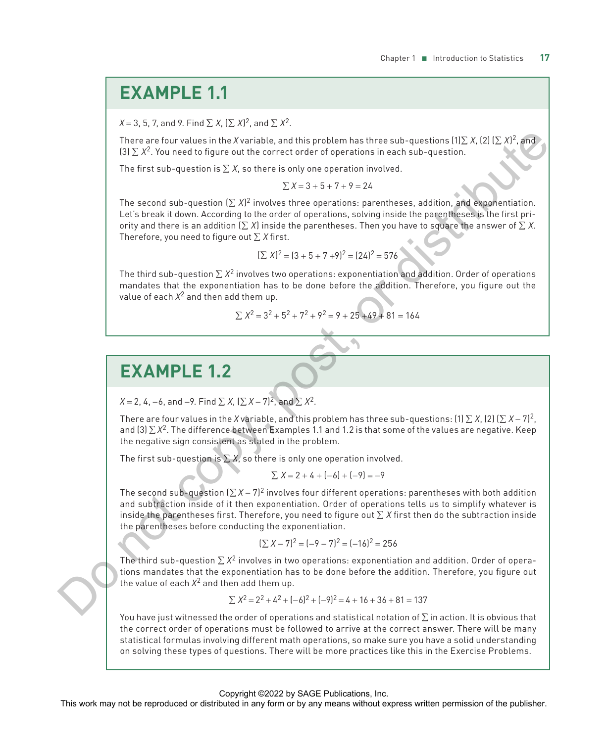## **EXAMPLE 1.1**

 $X$  = 3, 5, 7, and 9. Find  $\sum X$ ,  $(\sum X)^2$ , and  $\sum X^2$ .

There are four values in the *X* variable, and this problem has three sub-questions (1)∑ *X*, (2) (∑ *X*)<sup>2</sup>, and (3) ∑ *X*2. You need to figure out the correct order of operations in each sub-question.

The first sub-question is  $\sum X$ , so there is only one operation involved.

$$
\sum X = 3 + 5 + 7 + 9 = 24
$$

The second sub-question  $(\Sigma X)^2$  involves three operations: parentheses, addition, and exponentiation. Let's break it down. According to the order of operations, solving inside the parentheses is the first priority and there is an addition  $(\sum X)$  inside the parentheses. Then you have to square the answer of  $\sum X$ . Therefore, you need to figure out ∑ *X* first. The second order of the X section or the R (a) control in a transform or by any means when the reproduced in any form or by any means without express the publisher. The first sub-question is  $\Sigma X$  is there is orbit one op

$$
(\sum X)^2 = (3 + 5 + 7 + 9)^2 = (24)^2 = 576
$$

The third sub-question  $\sum X^2$  involves two operations: exponentiation and addition. Order of operations mandates that the exponentiation has to be done before the addition. Therefore, you figure out the value of each  $X^2$  and then add them up.

$$
\sum X^2 = 3^2 + 5^2 + 7^2 + 9^2 = 9 + 25 + 49 + 81 = 164
$$

## **EXAMPLE 1.2**

*X* = 2, 4, −6, and −9. Find  $\Sigma$  *X*,  $(\Sigma X - 7)^2$ , and  $\Sigma X^2$ .

There are four values in the *X* variable, and this problem has three sub-questions: (1)  $\sum X$ , (2) ( $\sum X - 7$ )<sup>2</sup>, and (3) ∑ *X*2. The difference between Examples 1.1 and 1.2 is that some of the values are negative. Keep the negative sign consistent as stated in the problem.

The first sub-question is  $\Sigma$  *X*, so there is only one operation involved.

$$
\sum X = 2 + 4 + (-6) + (-9) = -9
$$

The second sub-question (∑ *X* − 7)2 involves four different operations: parentheses with both addition and subtraction inside of it then exponentiation. Order of operations tells us to simplify whatever is inside the parentheses first. Therefore, you need to figure out ∑ *X* first then do the subtraction inside the parentheses before conducting the exponentiation.

$$
[\sum X - 7]^2 = [-9 - 7]^2 = [-16]^2 = 256
$$

The third sub-question  $\sum X^2$  involves in two operations: exponentiation and addition. Order of operations mandates that the exponentiation has to be done before the addition. Therefore, you figure out the value of each  $X^2$  and then add them up.

$$
\sum X^2 = 2^2 + 4^2 + (-6)^2 + (-9)^2 = 4 + 16 + 36 + 81 = 137
$$

You have just witnessed the order of operations and statistical notation of  $\Sigma$  in action. It is obvious that the correct order of operations must be followed to arrive at the correct answer. There will be many statistical formulas involving different math operations, so make sure you have a solid understanding on solving these types of questions. There will be more practices like this in the Exercise Problems.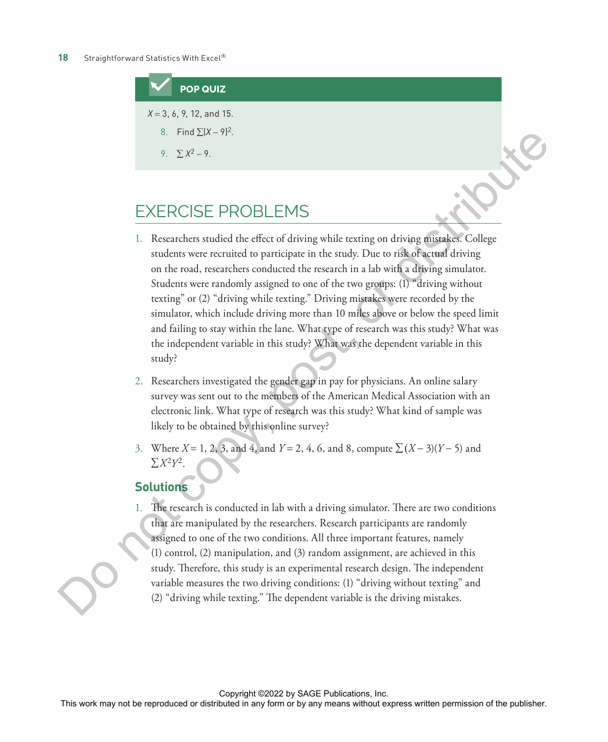## **POP QUIZ** *X* = 3, 6, 9, 12, and 15. 8. Find  $\Sigma$  $(X - 9)^2$ . 9.  $\Sigma X^2 - 9$ .

## EXERCISE PROBLEMS

- 1. Researchers studied the effect of driving while texting on driving mistakes. College students were recruited to participate in the study. Due to risk of actual driving on the road, researchers conducted the research in a lab with a driving simulator. Students were randomly assigned to one of the two groups: (1) "driving without texting" or (2) "driving while texting." Driving mistakes were recorded by the simulator, which include driving more than 10 miles above or below the speed limit and failing to stay within the lane. What type of research was this study? What was the independent variable in this study? What was the dependent variable in this study? EXERCISE PROBLEMS<br>
THE ROUSE PROBLEMS<br>
L Researchers statistical the stillest of distring withis exacting on distributed College<br>
and the statistical distributed in a head of the publisher of the publisher of the publishe
	- 2. Researchers investigated the gender gap in pay for physicians. An online salary survey was sent out to the members of the American Medical Association with an electronic link. What type of research was this study? What kind of sample was likely to be obtained by this online survey?
	- 3. Where *X* = 1, 2, 3, and 4, and *Y* = 2, 4, 6, and 8, compute ∑ (*X* − 3)(*Y* − 5) and  $\Sigma X^2 Y^2$ .

#### **Solutions**

1. The research is conducted in lab with a driving simulator. There are two conditions that are manipulated by the researchers. Research participants are randomly assigned to one of the two conditions. All three important features, namely (1) control, (2) manipulation, and (3) random assignment, are achieved in this study. Therefore, this study is an experimental research design. The independent variable measures the two driving conditions: (1) "driving without texting" and (2) "driving while texting." The dependent variable is the driving mistakes.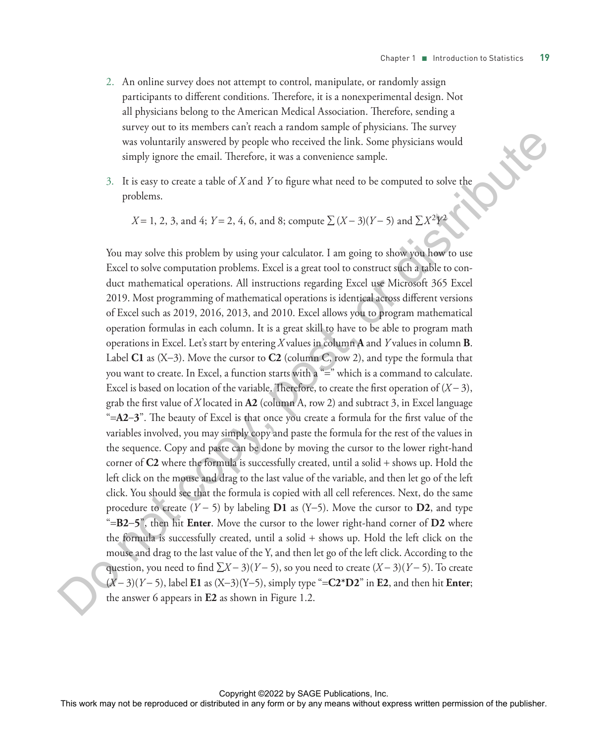- 2. An online survey does not attempt to control, manipulate, or randomly assign participants to different conditions. Therefore, it is a nonexperimental design. Not all physicians belong to the American Medical Association. Therefore, sending a survey out to its members can't reach a random sample of physicians. The survey was voluntarily answered by people who received the link. Some physicians would simply ignore the email. Therefore, it was a convenience sample.
- 3. It is easy to create a table of *X* and *Y* to figure what need to be computed to solve the problems.

$$
X = 1, 2, 3, \text{ and } 4; Y = 2, 4, 6, \text{ and } 8; \text{ compute } \sum (X - 3)(Y - 5) \text{ and } \sum X^2 Y^2
$$

You may solve this problem by using your calculator. I am going to show you how to use Excel to solve computation problems. Excel is a great tool to construct such a table to conduct mathematical operations. All instructions regarding Excel use Microsoft 365 Excel 2019. Most programming of mathematical operations is identical across different versions of Excel such as 2019, 2016, 2013, and 2010. Excel allows you to program mathematical operation formulas in each column. It is a great skill to have to be able to program math operations in Excel. Let's start by entering *X* values in column **A** and *Y* values in column **B**. Label C1 as  $(X-3)$ . Move the cursor to C2 (column C, row 2), and type the formula that you want to create. In Excel, a function starts with a "=" which is a command to calculate. Excel is based on location of the variable. Therefore, to create the first operation of (*X* − 3), grab the first value of *X* located in **A2** (column A, row 2) and subtract 3, in Excel language "=**A2**-**3**". The beauty of Excel is that once you create a formula for the first value of the variables involved, you may simply copy and paste the formula for the rest of the values in the sequence. Copy and paste can be done by moving the cursor to the lower right-hand corner of **C2** where the formula is successfully created, until a solid + shows up. Hold the left click on the mouse and drag to the last value of the variable, and then let go of the left click. You should see that the formula is copied with all cell references. Next, do the same procedure to create (*Y* − 5) by labeling **D1** as (Y-5). Move the cursor to **D2**, and type "=**B2**-**5**", then hit **Enter**. Move the cursor to the lower right-hand corner of **D2** where the formula is successfully created, until a solid + shows up. Hold the left click on the mouse and drag to the last value of the Y, and then let go of the left click. According to the question, you need to find ∑*X* − 3)(*Y* − 5), so you need to create (*X* − 3)(*Y* − 5). To create (*X* − 3)(*Y* − 5), label **E1** as (X-3)(Y-5), simply type "=**C2\*D2**" in **E2**, and then hit **Enter**; the answer 6 appears in **E2** as shown in Figure 1.2. This was a submaring answered by people who received the link. Some physicians would<br>simply tapone the entail Herefore, it was a convenience sample.<br>
3. It is case to constant a table of X and Y to figure what would to be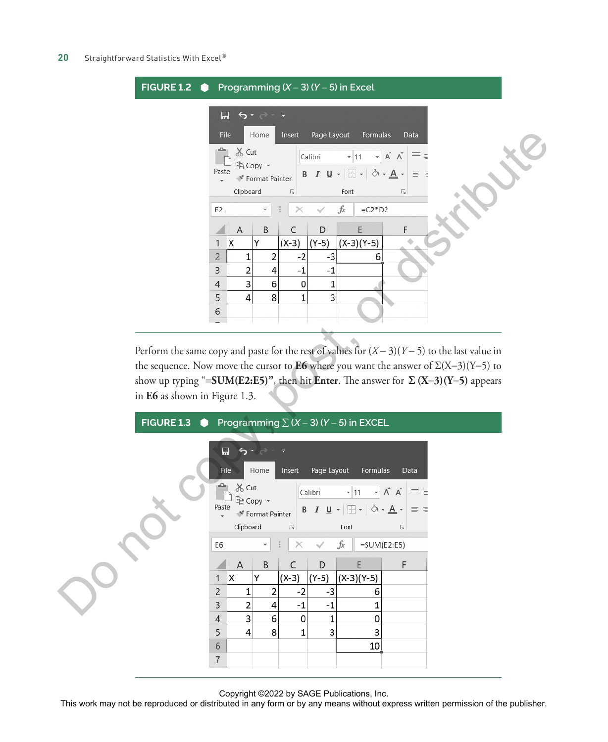| FIGURE 1.2 $\bullet$ Programming $(X - 3)$ $(Y - 5)$ in Excel |                                                                            |                         |         |             |                                                                                                                                                  |                   |  |  |  |  |
|---------------------------------------------------------------|----------------------------------------------------------------------------|-------------------------|---------|-------------|--------------------------------------------------------------------------------------------------------------------------------------------------|-------------------|--|--|--|--|
|                                                               | File                                                                       | Home                    | Insert  | Page Layout | Formulas                                                                                                                                         | Data              |  |  |  |  |
| Paste                                                         | <b>※ Cut</b><br><b>■</b> Copy ▼                                            | <b>★</b> Format Painter |         | Calibri     | $\mathbf{A}$ 11 $\mathbf{A}$ $\mathbf{A}$<br><b>B</b> $I \cup \neg \Box \neg \Box \neg \Diamond \neg \Box \neg \Box \neg \Box \neg \Box \exists$ | $=$ $\frac{1}{3}$ |  |  |  |  |
|                                                               | Clipboard<br>$\overline{\Gamma_2}$<br>Font<br>$\sqrt{2}$                   |                         |         |             |                                                                                                                                                  |                   |  |  |  |  |
|                                                               | $f_x$<br>$=C2*D2$<br>E <sub>2</sub><br>$\times$<br>$\overline{\mathbf{v}}$ |                         |         |             |                                                                                                                                                  |                   |  |  |  |  |
|                                                               | A                                                                          | B                       | C       | D           | F                                                                                                                                                | F                 |  |  |  |  |
| 1                                                             | X                                                                          | Y                       | $(X-3)$ | $(Y-5)$     | $(X-3)(Y-5)$                                                                                                                                     |                   |  |  |  |  |
| $\overline{2}$                                                | 1                                                                          | 2                       | $-2$    | -3          | 6                                                                                                                                                |                   |  |  |  |  |
| 3                                                             | 2                                                                          | 4                       | $-1$    | $-1$        |                                                                                                                                                  |                   |  |  |  |  |
| $\overline{4}$                                                | 3                                                                          | 6                       | 0       |             |                                                                                                                                                  |                   |  |  |  |  |
| 5                                                             | 4                                                                          | 8                       | 1       | 3           |                                                                                                                                                  |                   |  |  |  |  |
| 6                                                             |                                                                            |                         |         |             |                                                                                                                                                  |                   |  |  |  |  |
|                                                               |                                                                            |                         |         |             |                                                                                                                                                  |                   |  |  |  |  |

Perform the same copy and paste for the rest of values for (*X* − 3)(*Y* − 5) to the last value in the sequence. Now move the cursor to **E6** where you want the answer of  $\Sigma(X-3)(Y-5)$  to show up typing "=**SUM(E2:E5)"**, then hit **Enter**. The answer for Σ **(X**-**3)(Y**-**5)** appears in **E6** as shown in Figure 1.3.



Copyright ©2022 by SAGE Publications, Inc.<br>This work may not be reproduced or distributed in any form or by any means without express written permission of the publisher.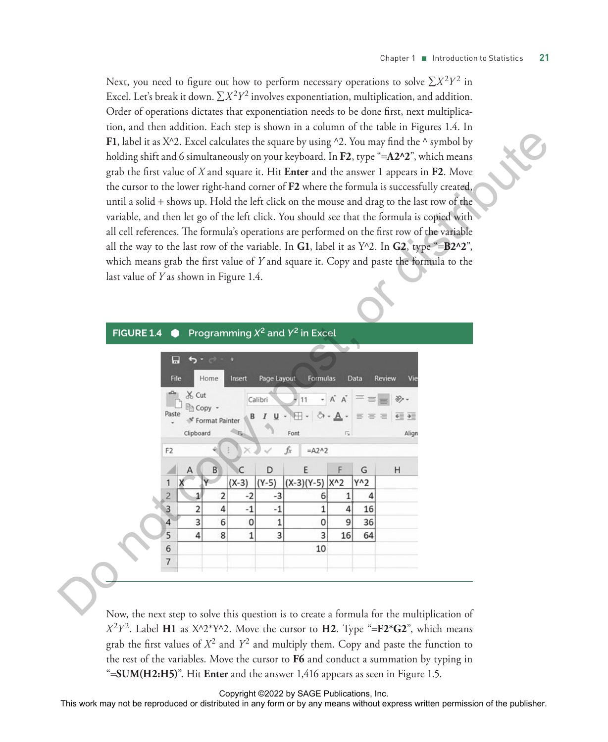Next, you need to figure out how to perform necessary operations to solve  $\sum X^2 Y^2$  in Excel. Let's break it down.  $\sum X^2 Y^2$  involves exponentiation, multiplication, and addition. Order of operations dictates that exponentiation needs to be done first, next multiplication, and then addition. Each step is shown in a column of the table in Figures 1.4. In **F1**, label it as X^2. Excel calculates the square by using ^2. You may find the ^ symbol by holding shift and 6 simultaneously on your keyboard. In **F2**, type "=**A2^2**", which means grab the first value of *X* and square it. Hit **Enter** and the answer 1 appears in **F2**. Move the cursor to the lower right-hand corner of **F2** where the formula is successfully created, until a solid + shows up. Hold the left click on the mouse and drag to the last row of the variable, and then let go of the left click. You should see that the formula is copied with all cell references. The formula's operations are performed on the first row of the variable all the way to the last row of the variable. In **G1**, label it as  $Y^2$ . In **G2**, type "=**B2^2**", which means grab the first value of *Y* and square it. Copy and paste the formula to the last value of *Y* as shown in Figure 1.4.

#### **FIGURE 1.4 Programming**  $X^2$  **and**  $Y^2$  **in Excel**

|                                                                              | F1, label it as X^2. Excel calculates the square by using ^2. You may find the ^ symbol by<br>holding shift and 6 simultaneously on your keyboard. In F2, type "=A2^2", which means<br>grab the first value of $X$ and square it. Hit Enter and the answer 1 appears in $F2$ . Move<br>the cursor to the lower right-hand corner of F2 where the formula is successfully created,<br>until a solid + shows up. Hold the left click on the mouse and drag to the last row of the<br>variable, and then let go of the left click. You should see that the formula is copied with<br>all cell references. The formula's operations are performed on the first row of the variable<br>all the way to the last row of the variable. In G1, label it as $Y^2$ . In G2, type "=B2^2",<br>which means grab the first value of Y and square it. Copy and paste the formula to the<br>last value of Y as shown in Figure 1.4. |                                                                                                                                     |                                                                        |                                                                                                       |                                                                                                        |                        |                                                                  |                                            |                                                                                                                                 |
|------------------------------------------------------------------------------|---------------------------------------------------------------------------------------------------------------------------------------------------------------------------------------------------------------------------------------------------------------------------------------------------------------------------------------------------------------------------------------------------------------------------------------------------------------------------------------------------------------------------------------------------------------------------------------------------------------------------------------------------------------------------------------------------------------------------------------------------------------------------------------------------------------------------------------------------------------------------------------------------------------------|-------------------------------------------------------------------------------------------------------------------------------------|------------------------------------------------------------------------|-------------------------------------------------------------------------------------------------------|--------------------------------------------------------------------------------------------------------|------------------------|------------------------------------------------------------------|--------------------------------------------|---------------------------------------------------------------------------------------------------------------------------------|
|                                                                              | <b>FIGURE 1.4</b>                                                                                                                                                                                                                                                                                                                                                                                                                                                                                                                                                                                                                                                                                                                                                                                                                                                                                                   | $\bullet$                                                                                                                           |                                                                        |                                                                                                       | Programming $X^2$ and $Y^2$ in Excel                                                                   |                        |                                                                  |                                            |                                                                                                                                 |
|                                                                              |                                                                                                                                                                                                                                                                                                                                                                                                                                                                                                                                                                                                                                                                                                                                                                                                                                                                                                                     | Н<br>ь<br>File<br>Cut<br>Copy<br>Clipboard<br>F <sub>2</sub><br>1<br>$\overline{c}$<br>$\overline{3}$<br>3<br>4<br>5<br>4<br>6<br>7 | Home<br>Insert<br><b>Format Painter</b><br>$(X-3)$<br>2<br>4<br>6<br>8 | Page Layout<br>Calibri<br>$I \cup \cdot$<br>C<br>D<br>$(Y-5)$<br>$-2$<br>-3<br>$-1$<br>$-1$<br>0<br>1 | Formulas<br>田<br>Font<br>$=$ A2^2<br>fx<br>E<br>$(X-3)(Y-5)$ $X^2$<br>6<br>1<br>0<br>1<br>3<br>3<br>10 | $ A -$<br>4<br>9<br>16 | Data<br>$\equiv$ $\equiv$ $\equiv$<br>G<br>Y^2<br>16<br>36<br>64 | <b>Review</b><br>Vie<br>←三→三<br>Align<br>H |                                                                                                                                 |
|                                                                              | Now, the next step to solve this question is to create a formula for the multiplication of                                                                                                                                                                                                                                                                                                                                                                                                                                                                                                                                                                                                                                                                                                                                                                                                                          |                                                                                                                                     |                                                                        |                                                                                                       |                                                                                                        |                        |                                                                  |                                            |                                                                                                                                 |
|                                                                              | $X^2Y^2$ . Label H1 as $X^{\wedge}2^*Y^{\wedge}2$ . Move the cursor to H2. Type "=F2*G2", which means                                                                                                                                                                                                                                                                                                                                                                                                                                                                                                                                                                                                                                                                                                                                                                                                               |                                                                                                                                     |                                                                        |                                                                                                       |                                                                                                        |                        |                                                                  |                                            |                                                                                                                                 |
|                                                                              | grab the first values of $X^2$ and $Y^2$ and multiply them. Copy and paste the function to                                                                                                                                                                                                                                                                                                                                                                                                                                                                                                                                                                                                                                                                                                                                                                                                                          |                                                                                                                                     |                                                                        |                                                                                                       |                                                                                                        |                        |                                                                  |                                            |                                                                                                                                 |
|                                                                              | the rest of the variables. Move the cursor to F6 and conduct a summation by typing in                                                                                                                                                                                                                                                                                                                                                                                                                                                                                                                                                                                                                                                                                                                                                                                                                               |                                                                                                                                     |                                                                        |                                                                                                       |                                                                                                        |                        |                                                                  |                                            |                                                                                                                                 |
| "=SUM(H2:H5)". Hit Enter and the answer 1,416 appears as seen in Figure 1.5. |                                                                                                                                                                                                                                                                                                                                                                                                                                                                                                                                                                                                                                                                                                                                                                                                                                                                                                                     |                                                                                                                                     |                                                                        |                                                                                                       |                                                                                                        |                        |                                                                  |                                            |                                                                                                                                 |
|                                                                              |                                                                                                                                                                                                                                                                                                                                                                                                                                                                                                                                                                                                                                                                                                                                                                                                                                                                                                                     |                                                                                                                                     |                                                                        |                                                                                                       | Copyright ©2022 by SAGE Publications, Inc.                                                             |                        |                                                                  |                                            | This work may not be reproduced or distributed in any form or by any means without express written permission of the publisher. |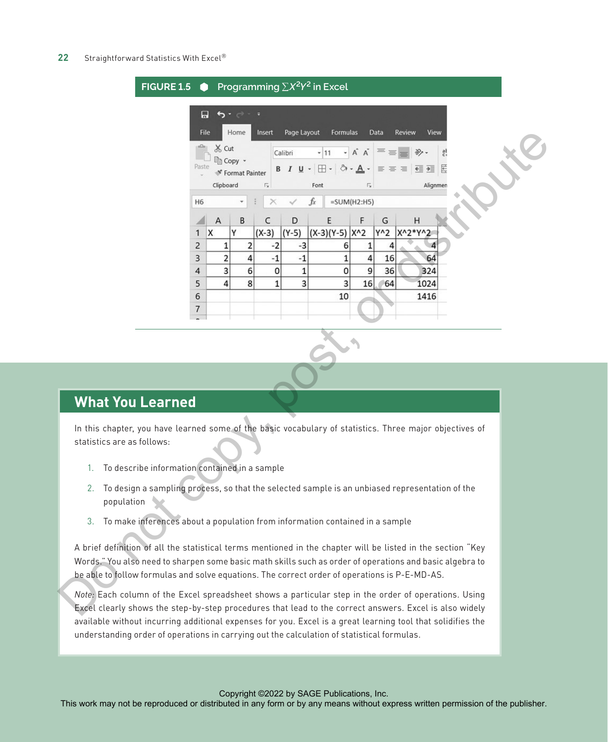#### 22 Straightforward Statistics With Excel<sup>®</sup>



## **What You Learned**

In this chapter, you have learned some of the basic vocabulary of statistics. Three major objectives of statistics are as follows:

- 1. To describe information contained in a sample
- 2. To design a sampling process, so that the selected sample is an unbiased representation of the population
- 3. To make inferences about a population from information contained in a sample

A brief definition of all the statistical terms mentioned in the chapter will be listed in the section "Key Words." You also need to sharpen some basic math skills such as order of operations and basic algebra to be able to follow formulas and solve equations. The correct order of operations is P-E-MD-AS.

*Note:* Each column of the Excel spreadsheet shows a particular step in the order of operations. Using Excel clearly shows the step-by-step procedures that lead to the correct answers. Excel is also widely available without incurring additional expenses for you. Excel is a great learning tool that solidifies the understanding order of operations in carrying out the calculation of statistical formulas.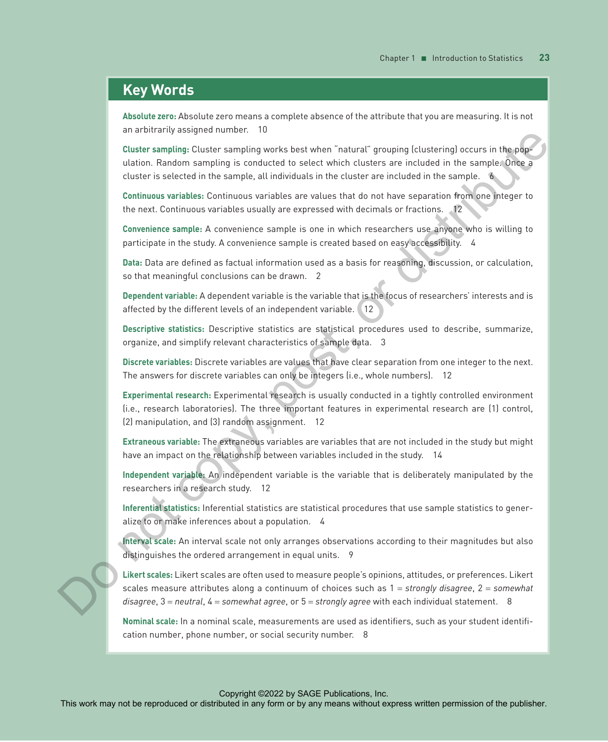#### **Key Words**

**Absolute zero:** Absolute zero means a complete absence of the attribute that you are measuring. It is not an arbitrarily assigned number. 10

**Cluster sampling:** Cluster sampling works best when "natural" grouping (clustering) occurs in the population. Random sampling is conducted to select which clusters are included in the sample. Once a cluster is selected in the sample, all individuals in the cluster are included in the sample. 6

**Continuous variables:** Continuous variables are values that do not have separation from one integer to the next. Continuous variables usually are expressed with decimals or fractions. 12

**Convenience sample:** A convenience sample is one in which researchers use anyone who is willing to participate in the study. A convenience sample is created based on easy accessibility. 4

**Data:** Data are defined as factual information used as a basis for reasoning, discussion, or calculation, so that meaningful conclusions can be drawn. 2

**Dependent variable:** A dependent variable is the variable that is the focus of researchers' interests and is affected by the different levels of an independent variable. 12

**Descriptive statistics:** Descriptive statistics are statistical procedures used to describe, summarize, organize, and simplify relevant characteristics of sample data. 3

**Discrete variables:** Discrete variables are values that have clear separation from one integer to the next. The answers for discrete variables can only be integers (i.e., whole numbers). 12

**Experimental research:** Experimental research is usually conducted in a tightly controlled environment (i.e., research laboratories). The three important features in experimental research are (1) control, (2) manipulation, and (3) random assignment. 12 and the restriction of the restriction or distributed or distributed in any form or britting in conduction in a considerate in any means when the publisher in any form or britting in any form or britting in a considered in

**Extraneous variable:** The extraneous variables are variables that are not included in the study but might have an impact on the relationship between variables included in the study. 14

**Independent variable:** An independent variable is the variable that is deliberately manipulated by the researchers in a research study. 12

**Inferential statistics:** Inferential statistics are statistical procedures that use sample statistics to generalize to or make inferences about a population. 4

**Interval scale:** An interval scale not only arranges observations according to their magnitudes but also distinguishes the ordered arrangement in equal units. 9

**Likert scales:** Likert scales are often used to measure people's opinions, attitudes, or preferences. Likert scales measure attributes along a continuum of choices such as 1 = *strongly disagree*, 2 = *somewhat disagree*, 3 = *neutral*, 4 = *somewhat agree*, or 5 = *strongly agree* with each individual statement. 8

**Nominal scale:** In a nominal scale, measurements are used as identifiers, such as your student identification number, phone number, or social security number. 8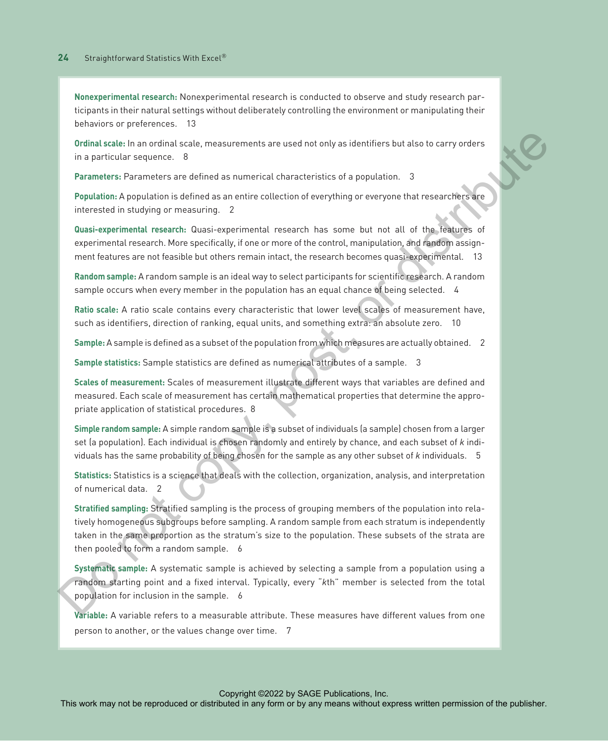**Nonexperimental research:** Nonexperimental research is conducted to observe and study research participants in their natural settings without deliberately controlling the environment or manipulating their behaviors or preferences. 13

**Ordinal scale:** In an ordinal scale, measurements are used not only as identifiers but also to carry orders in a particular sequence. 8

**Parameters:** Parameters are defined as numerical characteristics of a population. 3

**Population:** A population is defined as an entire collection of everything or everyone that researchers are interested in studying or measuring. 2

**Quasi-experimental research:** Quasi-experimental research has some but not all of the features of experimental research. More specifically, if one or more of the control, manipulation, and random assignment features are not feasible but others remain intact, the research becomes quasi-experimental. 13

**Random sample:** A random sample is an ideal way to select participants for scientific research. A random sample occurs when every member in the population has an equal chance of being selected. 4

**Ratio scale:** A ratio scale contains every characteristic that lower level scales of measurement have, such as identifiers, direction of ranking, equal units, and something extra: an absolute zero. 10

**Sample:** A sample is defined as a subset of the population from which measures are actually obtained. 2

**Sample statistics:** Sample statistics are defined as numerical attributes of a sample. 3

**Scales of measurement:** Scales of measurement illustrate different ways that variables are defined and measured. Each scale of measurement has certain mathematical properties that determine the appropriate application of statistical procedures. 8

**Simple random sample:** A simple random sample is a subset of individuals (a sample) chosen from a larger set (a population). Each individual is chosen randomly and entirely by chance, and each subset of *k* individuals has the same probability of being chosen for the sample as any other subset of *k* individuals. 5

**Statistics:** Statistics is a science that deals with the collection, organization, analysis, and interpretation of numerical data. 2

**Stratified sampling:** Stratified sampling is the process of grouping members of the population into relatively homogeneous subgroups before sampling. A random sample from each stratum is independently taken in the same proportion as the stratum's size to the population. These subsets of the strata are then pooled to form a random sample. 6 Ordinal scale in an ordinal scale, measurements are used not only as identifiers but also contry orders<br>
The particular sections of the reproduced or any form or between the publishers of the publishers of the publishers o

**Systematic sample:** A systematic sample is achieved by selecting a sample from a population using a random starting point and a fixed interval. Typically, every "*k*th" member is selected from the total population for inclusion in the sample. 6

**Variable:** A variable refers to a measurable attribute. These measures have different values from one person to another, or the values change over time. 7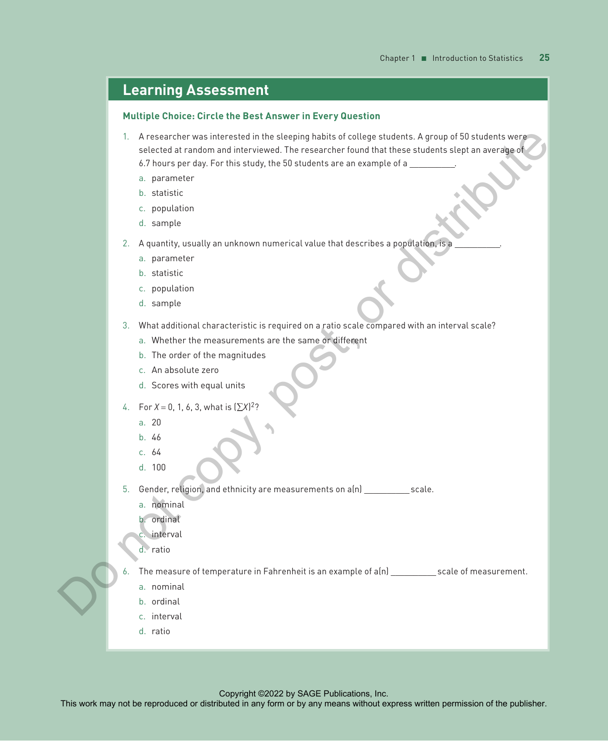### **Learning Assessment**

#### **Multiple Choice: Circle the Best Answer in Every Question**

- 1. A researcher was interested in the sleeping habits of college students. A group of 50 students were selected at random and interviewed. The researcher found that these students slept an average of 6.7 hours per day. For this study, the 50 students are an example of a The measurable may not be reproduced to the reproduced or distributed in any means with an intervention of the publisher companies to the publisher permission of the publisher. The publisher permission of the publisher or
	- a. parameter
	- b. statistic
	- c. population
	- d. sample
	- 2. A quantity, usually an unknown numerical value that describes a population, is a
		- a. parameter
		- b. statistic
		- c. population
		- d. sample
	- 3. What additional characteristic is required on a ratio scale compared with an interval scale?
		- a. Whether the measurements are the same or different
		- b. The order of the magnitudes
		- c. An absolute zero
		- d. Scores with equal units
	- 4. For  $X = 0, 1, 6, 3$ , what is  $(\sum X)^2$ ?
		- a. 20
		- b. 46
		- c. 64
		- d. 100

5. Gender, religion, and ethnicity are measurements on a(n) \_\_\_\_\_\_\_\_\_\_ scale.

- a. nominal
- b. ordinal
- c. interval
- d. ratio

The measure of temperature in Fahrenheit is an example of a(n) \_\_\_\_\_\_\_\_\_\_\_ scale of measurement.

- a. nominal
- b. ordinal
- c. interval
- d. ratio

Copyright ©2022 by SAGE Publications, Inc.<br>This work may not be reproduced or distributed in any form or by any means without express written permission of the publisher.